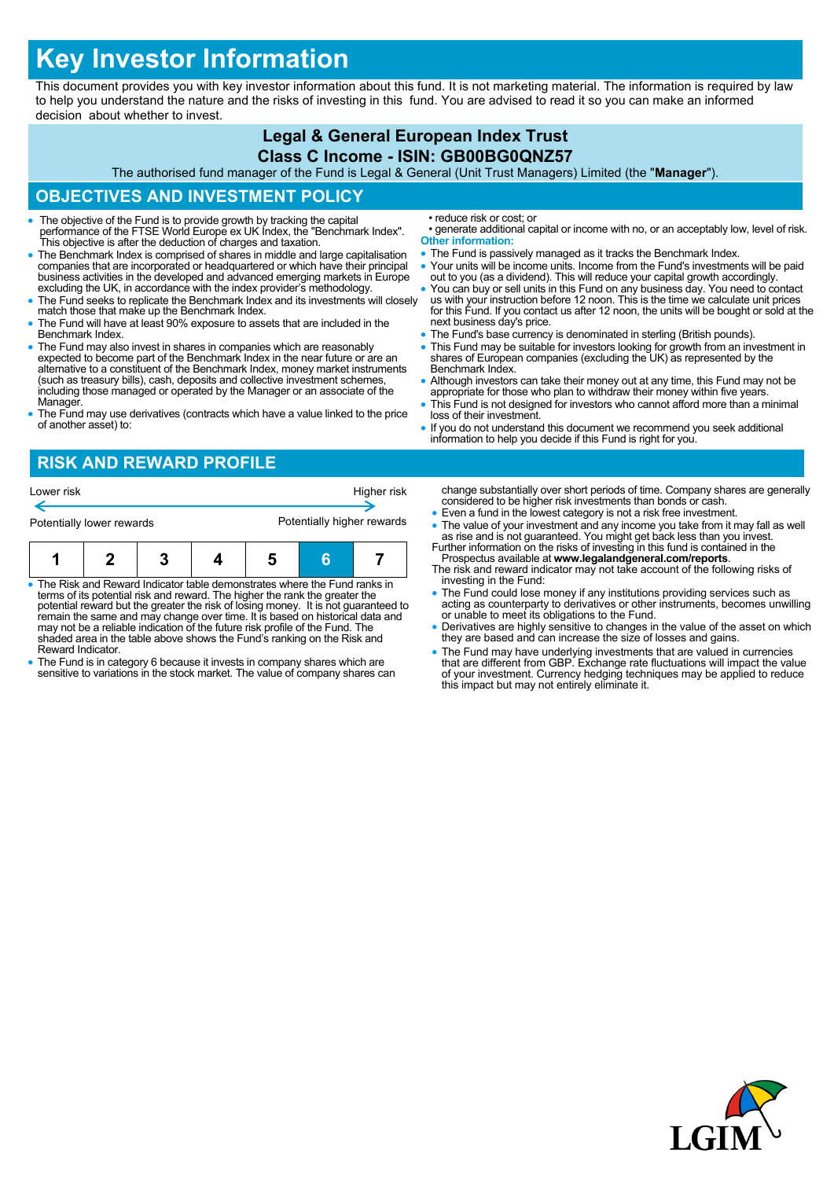# **Key Investor Information**

This document provides you with key investor information about this fund. It is not marketing material. The information is required by law to help you understand the nature and the risks of investing in this fund. You are advised to read it so you can make an informed decision about whether to invest.

#### **Legal & General European Index Trust Class C Income - ISIN: GB00BG0QNZ57** The authorised fund manager of the Fund is Legal & General (Unit Trust Managers) Limited (the "**Manager**"). **OBJECTIVES AND INVESTMENT POLICY** The objective of the Fund is to provide growth by tracking the capital performance of the FTSE World Europe ex UK Index, the "Benchmark Index". This objective is after the deduction of charges and taxation. The Benchmark Index is comprised of shares in middle and large capitalisation companies that are incorporated or headquartered or which have their principal business activities in the developed and advanced emerging markets in Europe excluding the UK, in accordance with the index provider's methodology. • The Fund seeks to replicate the Benchmark Index and its investments will closely match those that make up the Benchmark Index. The Fund will have at least 90% exposure to assets that are included in the Benchmark Index. The Fund may also invest in shares in companies which are reasonably expected to become part of the Benchmark Index in the near future or are an alternative to a constituent of the Benchmark Index, money market instruments (such as treasury bills), cash, deposits and collective investment schemes, including those managed or operated by the Manager or an associate of the Manager. The Fund may use derivatives (contracts which have a value linked to the price of another asset) to: • reduce risk or cost; or • generate additional capital or income with no, or an acceptably low, level of risk. **Other information:** • The Fund is passively managed as it tracks the Benchmark Index. Your units will be income units. Income from the Fund's investments will be paid out to you (as a dividend). This will reduce your capital growth accordingly. You can buy or sell units in this Fund on any business day. You need to contact us with your instruction before 12 noon. This is the time we calculate unit prices for this Fund. If you contact us after 12 noon, the units will be bought or sold at the next business day's price. • The Fund's base currency is denominated in sterling (British pounds). This Fund may be suitable for investors looking for growth from an investment in shares of European companies (excluding the UK) as represented by the Benchmark Index. • Although investors can take their money out at any time, this Fund may not be appropriate for those who plan to withdraw their money within five years. This Fund is not designed for investors who cannot afford more than a minimal loss of their investment. If you do not understand this document we recommend you seek additional information to help you decide if this Fund is right for you. **RISK AND REWARD PROFILE** change substantially over short periods of time. Company shares are generally considered to be higher risk investments than bonds or cash. Even a fund in the lowest category is not a risk free investment. • The value of your investment and any income you take from it may fall as well as rise and is not guaranteed. You might get back less than you invest. Further information on the risks of investing in this fund is contained in the Lower risk **Higher risk** Potentially lower rewards **Potentially higher rewards**

- The Risk and Reward Indicator table demonstrates where the Fund ranks in terms of its potential risk and reward. The higher the rank the greater the potential reward but the greater the risk of losing money. It is not guaranteed to remain the same and may change over time. It is based on historical data and may not be a reliable indication of the future risk profile of the Fund. The **1 2 3 4 5 6 7**
- shaded area in the table above shows the Fund's ranking on the Risk and Reward Indicator. The Fund is in category 6 because it invests in company shares which are
- sensitive to variations in the stock market. The value of company shares can
- Prospectus available at **www.legalandgeneral.com/reports**. The risk and reward indicator may not take account of the following risks of
- investing in the Fund:
- The Fund could lose money if any institutions providing services such as acting as counterparty to derivatives or other instruments, becomes unwilling or unable to meet its obligations to the Fund.
- Derivatives are highly sensitive to changes in the value of the asset on which they are based and can increase the size of losses and gains.
- The Fund may have underlying investments that are valued in currencies that are different from GBP. Exchange rate fluctuations will impact the value of your investment. Currency hedging techniques may be applied to reduce this impact but may not entirely eliminate it.